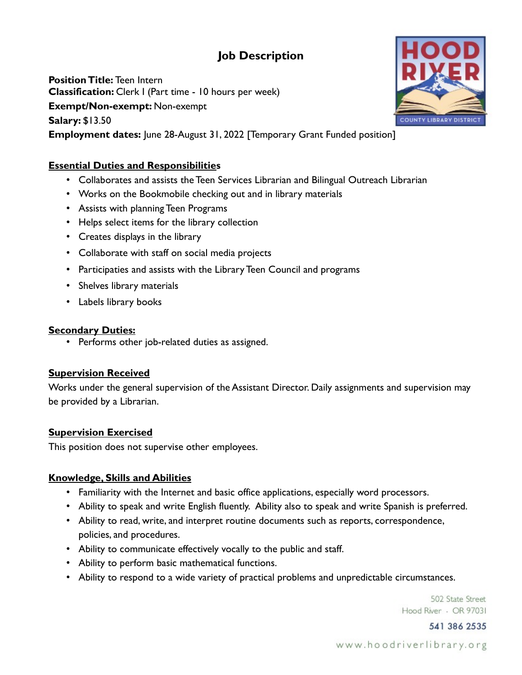# **Job Description**

**Position Title:** Teen Intern **Classification:** Clerk I (Part time - 10 hours per week) **Exempt/Non-exempt:** Non-exempt **Salary:** \$13.50 **Employment dates:** June 28-August 31, 2022 [Temporary Grant Funded position]

## **Essential Duties and Responsibilities**

- Collaborates and assists the Teen Services Librarian and Bilingual Outreach Librarian
- Works on the Bookmobile checking out and in library materials
- Assists with planning Teen Programs
- Helps select items for the library collection
- Creates displays in the library
- Collaborate with staff on social media projects
- Participaties and assists with the Library Teen Council and programs
- Shelves library materials
- Labels library books

### **Secondary Duties:**

• Performs other job-related duties as assigned.

## **Supervision Received**

Works under the general supervision of the Assistant Director. Daily assignments and supervision may be provided by a Librarian.

## **Supervision Exercised**

This position does not supervise other employees.

### **Knowledge, Skills and Abilities**

- Familiarity with the Internet and basic office applications, especially word processors.
- Ability to speak and write English fluently. Ability also to speak and write Spanish is preferred.
- Ability to read, write, and interpret routine documents such as reports, correspondence, policies, and procedures.
- Ability to communicate effectively vocally to the public and staff.
- Ability to perform basic mathematical functions.
- Ability to respond to a wide variety of practical problems and unpredictable circumstances.

502 State Street Hood River - OR 97031

541 386 2535

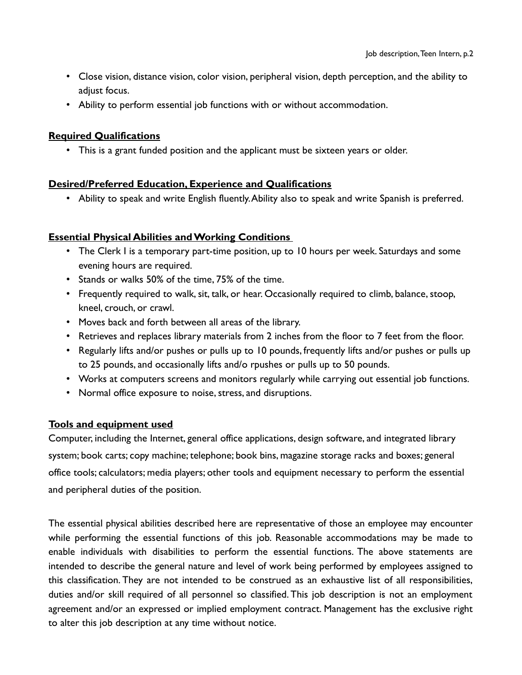- Close vision, distance vision, color vision, peripheral vision, depth perception, and the ability to adjust focus.
- Ability to perform essential job functions with or without accommodation.

### **Required Qualifications**

• This is a grant funded position and the applicant must be sixteen years or older.

#### **Desired/Preferred Education, Experience and Qualifications**

• Ability to speak and write English fluently. Ability also to speak and write Spanish is preferred.

### **Essential Physical Abilities and Working Conditions**

- The Clerk I is a temporary part-time position, up to 10 hours per week. Saturdays and some evening hours are required.
- Stands or walks 50% of the time, 75% of the time.
- Frequently required to walk, sit, talk, or hear. Occasionally required to climb, balance, stoop, kneel, crouch, or crawl.
- Moves back and forth between all areas of the library.
- Retrieves and replaces library materials from 2 inches from the floor to 7 feet from the floor.
- Regularly lifts and/or pushes or pulls up to 10 pounds, frequently lifts and/or pushes or pulls up to 25 pounds, and occasionally lifts and/o rpushes or pulls up to 50 pounds.
- Works at computers screens and monitors regularly while carrying out essential job functions.
- Normal office exposure to noise, stress, and disruptions.

### **Tools and equipment used**

Computer, including the Internet, general office applications, design software, and integrated library system; book carts; copy machine; telephone; book bins, magazine storage racks and boxes; general office tools; calculators; media players; other tools and equipment necessary to perform the essential and peripheral duties of the position.

The essential physical abilities described here are representative of those an employee may encounter while performing the essential functions of this job. Reasonable accommodations may be made to enable individuals with disabilities to perform the essential functions. The above statements are intended to describe the general nature and level of work being performed by employees assigned to this classification. They are not intended to be construed as an exhaustive list of all responsibilities, duties and/or skill required of all personnel so classified. This job description is not an employment agreement and/or an expressed or implied employment contract. Management has the exclusive right to alter this job description at any time without notice.